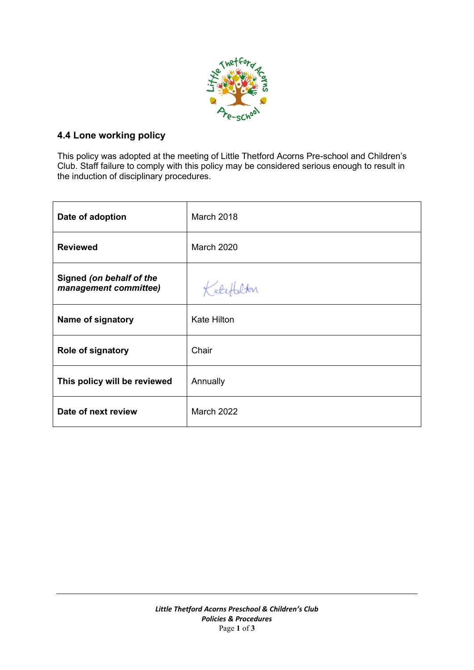

# **4.4 Lone working policy**

This policy was adopted at the meeting of Little Thetford Acorns Pre-school and Children's Club. Staff failure to comply with this policy may be considered serious enough to result in the induction of disciplinary procedures.

| Date of adoption                                  | March 2018         |
|---------------------------------------------------|--------------------|
| <b>Reviewed</b>                                   | March 2020         |
| Signed (on behalf of the<br>management committee) | Katy               |
| Name of signatory                                 | <b>Kate Hilton</b> |
| <b>Role of signatory</b>                          | Chair              |
| This policy will be reviewed                      | Annually           |
| Date of next review                               | March 2022         |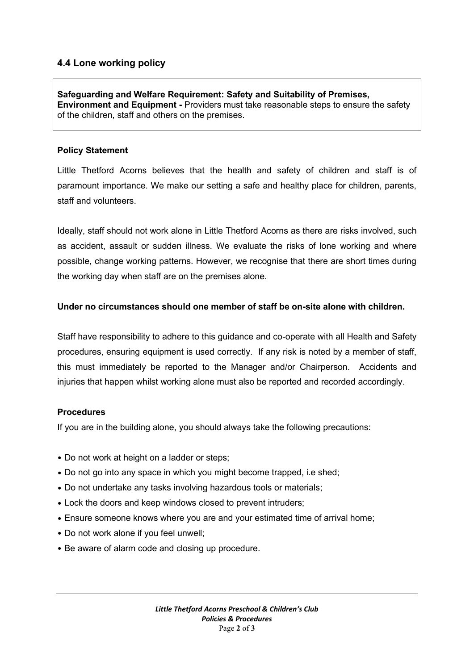## **4.4 Lone working policy**

**Safeguarding and Welfare Requirement: Safety and Suitability of Premises, Environment and Equipment -** Providers must take reasonable steps to ensure the safety of the children, staff and others on the premises.

#### **Policy Statement**

Little Thetford Acorns believes that the health and safety of children and staff is of paramount importance. We make our setting a safe and healthy place for children, parents, staff and volunteers.

Ideally, staff should not work alone in Little Thetford Acorns as there are risks involved, such as accident, assault or sudden illness. We evaluate the risks of lone working and where possible, change working patterns. However, we recognise that there are short times during the working day when staff are on the premises alone.

#### **Under no circumstances should one member of staff be on-site alone with children.**

Staff have responsibility to adhere to this guidance and co-operate with all Health and Safety procedures, ensuring equipment is used correctly. If any risk is noted by a member of staff, this must immediately be reported to the Manager and/or Chairperson. Accidents and injuries that happen whilst working alone must also be reported and recorded accordingly.

### **Procedures**

If you are in the building alone, you should always take the following precautions:

- Do not work at height on a ladder or steps;
- Do not go into any space in which you might become trapped, i.e shed;
- Do not undertake any tasks involving hazardous tools or materials;
- Lock the doors and keep windows closed to prevent intruders;
- Ensure someone knows where you are and your estimated time of arrival home;
- Do not work alone if you feel unwell;
- Be aware of alarm code and closing up procedure.